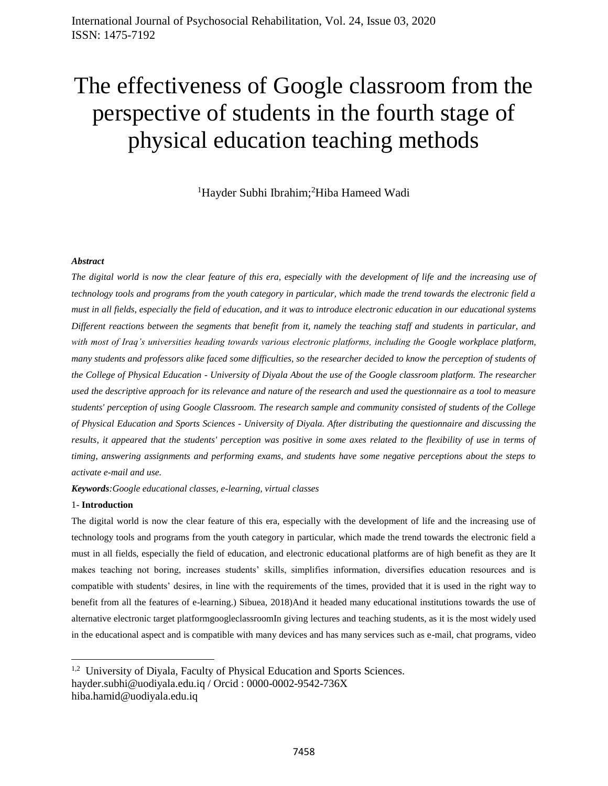# The effectiveness of Google classroom from the perspective of students in the fourth stage of physical education teaching methods

<sup>1</sup>Hayder Subhi Ibrahim;<sup>2</sup>Hiba Hameed Wadi

#### *Abstract*

*The digital world is now the clear feature of this era, especially with the development of life and the increasing use of technology tools and programs from the youth category in particular, which made the trend towards the electronic field a must in all fields, especially the field of education, and it was to introduce electronic education in our educational systems Different reactions between the segments that benefit from it, namely the teaching staff and students in particular, and*  with most of Iraq's universities heading towards various electronic platforms, including the Google workplace platform, *many students and professors alike faced some difficulties, so the researcher decided to know the perception of students of the College of Physical Education - University of Diyala About the use of the Google classroom platform. The researcher used the descriptive approach for its relevance and nature of the research and used the questionnaire as a tool to measure students' perception of using Google Classroom. The research sample and community consisted of students of the College of Physical Education and Sports Sciences - University of Diyala. After distributing the questionnaire and discussing the results, it appeared that the students' perception was positive in some axes related to the flexibility of use in terms of timing, answering assignments and performing exams, and students have some negative perceptions about the steps to activate e-mail and use.*

*Keywords:Google educational classes, e-learning, virtual classes*

#### 1- **Introduction**

 $\overline{\phantom{a}}$ 

The digital world is now the clear feature of this era, especially with the development of life and the increasing use of technology tools and programs from the youth category in particular, which made the trend towards the electronic field a must in all fields, especially the field of education, and electronic educational platforms are of high benefit as they are It makes teaching not boring, increases students' skills, simplifies information, diversifies education resources and is compatible with students' desires, in line with the requirements of the times, provided that it is used in the right way to benefit from all the features of e-learning.) Sibuea, 2018)And it headed many educational institutions towards the use of alternative electronic target platformgoogleclassroomIn giving lectures and teaching students, as it is the most widely used in the educational aspect and is compatible with many devices and has many services such as e-mail, chat programs, video

<sup>&</sup>lt;sup>1,2</sup> University of Diyala, Faculty of Physical Education and Sports Sciences. hayder.subhi@uodiyala.edu.iq / Orcid : 0000-0002-9542-736X hiba.hamid@uodiyala.edu.iq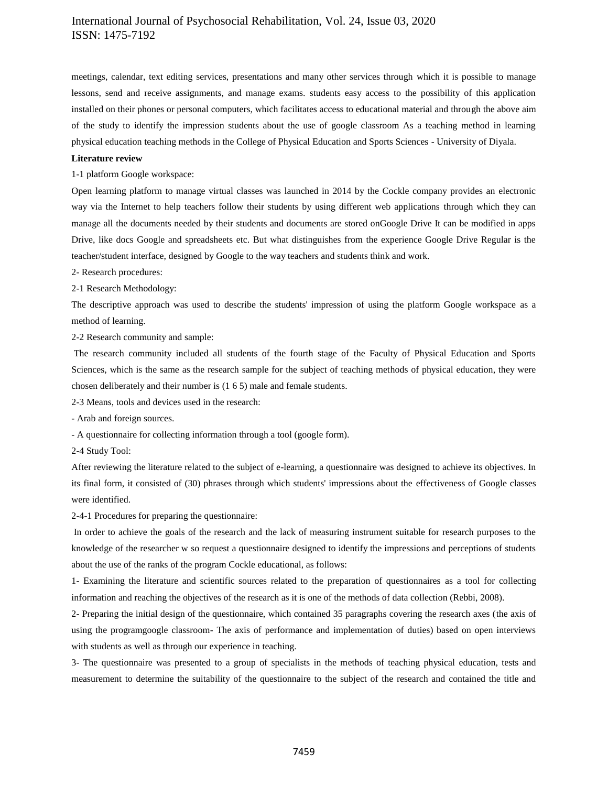meetings, calendar, text editing services, presentations and many other services through which it is possible to manage lessons, send and receive assignments, and manage exams. students easy access to the possibility of this application installed on their phones or personal computers, which facilitates access to educational material and through the above aim of the study to identify the impression students about the use of google classroom As a teaching method in learning physical education teaching methods in the College of Physical Education and Sports Sciences - University of Diyala.

#### **Literature review**

1-1 platform Google workspace:

Open learning platform to manage virtual classes was launched in 2014 by the Cockle company provides an electronic way via the Internet to help teachers follow their students by using different web applications through which they can manage all the documents needed by their students and documents are stored onGoogle Drive It can be modified in apps Drive, like docs Google and spreadsheets etc. But what distinguishes from the experience Google Drive Regular is the teacher/student interface, designed by Google to the way teachers and students think and work.

2- Research procedures:

2-1 Research Methodology:

The descriptive approach was used to describe the students' impression of using the platform Google workspace as a method of learning.

2-2 Research community and sample:

The research community included all students of the fourth stage of the Faculty of Physical Education and Sports Sciences, which is the same as the research sample for the subject of teaching methods of physical education, they were chosen deliberately and their number is (1 6 5) male and female students.

2-3 Means, tools and devices used in the research:

- Arab and foreign sources.

- A questionnaire for collecting information through a tool (google form).

2-4 Study Tool:

After reviewing the literature related to the subject of e-learning, a questionnaire was designed to achieve its objectives. In its final form, it consisted of (30) phrases through which students' impressions about the effectiveness of Google classes were identified.

2-4-1 Procedures for preparing the questionnaire:

In order to achieve the goals of the research and the lack of measuring instrument suitable for research purposes to the knowledge of the researcher w so request a questionnaire designed to identify the impressions and perceptions of students about the use of the ranks of the program Cockle educational, as follows:

1- Examining the literature and scientific sources related to the preparation of questionnaires as a tool for collecting information and reaching the objectives of the research as it is one of the methods of data collection (Rebbi, 2008).

2- Preparing the initial design of the questionnaire, which contained 35 paragraphs covering the research axes (the axis of using the programgoogle classroom- The axis of performance and implementation of duties) based on open interviews with students as well as through our experience in teaching.

3- The questionnaire was presented to a group of specialists in the methods of teaching physical education, tests and measurement to determine the suitability of the questionnaire to the subject of the research and contained the title and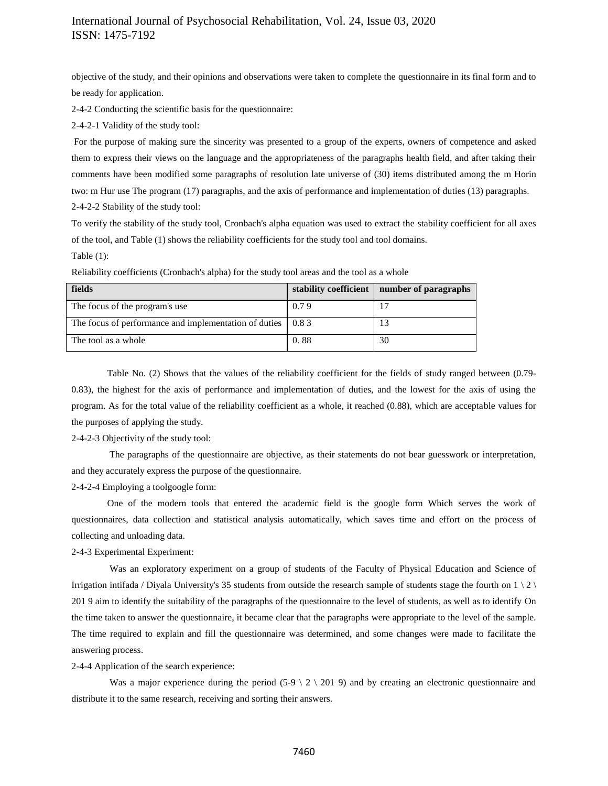objective of the study, and their opinions and observations were taken to complete the questionnaire in its final form and to be ready for application.

2-4-2 Conducting the scientific basis for the questionnaire:

2-4-2-1 Validity of the study tool:

For the purpose of making sure the sincerity was presented to a group of the experts, owners of competence and asked them to express their views on the language and the appropriateness of the paragraphs health field, and after taking their comments have been modified some paragraphs of resolution late universe of (30) items distributed among the m Horin two: m Hur use The program (17) paragraphs, and the axis of performance and implementation of duties (13) paragraphs. 2-4-2-2 Stability of the study tool:

To verify the stability of the study tool, Cronbach's alpha equation was used to extract the stability coefficient for all axes of the tool, and Table (1) shows the reliability coefficients for the study tool and tool domains.

Table (1):

| fields                                                | stability coefficient | number of paragraphs |
|-------------------------------------------------------|-----------------------|----------------------|
| The focus of the program's use                        | 0.79                  |                      |
| The focus of performance and implementation of duties | 0.83                  |                      |
| The tool as a whole                                   | 0.88                  | 30                   |

Reliability coefficients (Cronbach's alpha) for the study tool areas and the tool as a whole

Table No. (2) Shows that the values of the reliability coefficient for the fields of study ranged between (0.79- 0.83), the highest for the axis of performance and implementation of duties, and the lowest for the axis of using the program. As for the total value of the reliability coefficient as a whole, it reached (0.88), which are acceptable values for the purposes of applying the study.

2-4-2-3 Objectivity of the study tool:

The paragraphs of the questionnaire are objective, as their statements do not bear guesswork or interpretation, and they accurately express the purpose of the questionnaire.

2-4-2-4 Employing a toolgoogle form:

One of the modern tools that entered the academic field is the google form Which serves the work of questionnaires, data collection and statistical analysis automatically, which saves time and effort on the process of collecting and unloading data.

2-4-3 Experimental Experiment:

Was an exploratory experiment on a group of students of the Faculty of Physical Education and Science of Irrigation intifada / Diyala University's 35 students from outside the research sample of students stage the fourth on  $1 \nvert 2 \nvert$ 201 9 aim to identify the suitability of the paragraphs of the questionnaire to the level of students, as well as to identify On the time taken to answer the questionnaire, it became clear that the paragraphs were appropriate to the level of the sample. The time required to explain and fill the questionnaire was determined, and some changes were made to facilitate the answering process.

2-4-4 Application of the search experience:

Was a major experience during the period  $(5-9 \ 2 \ 201 \ 9)$  and by creating an electronic questionnaire and distribute it to the same research, receiving and sorting their answers.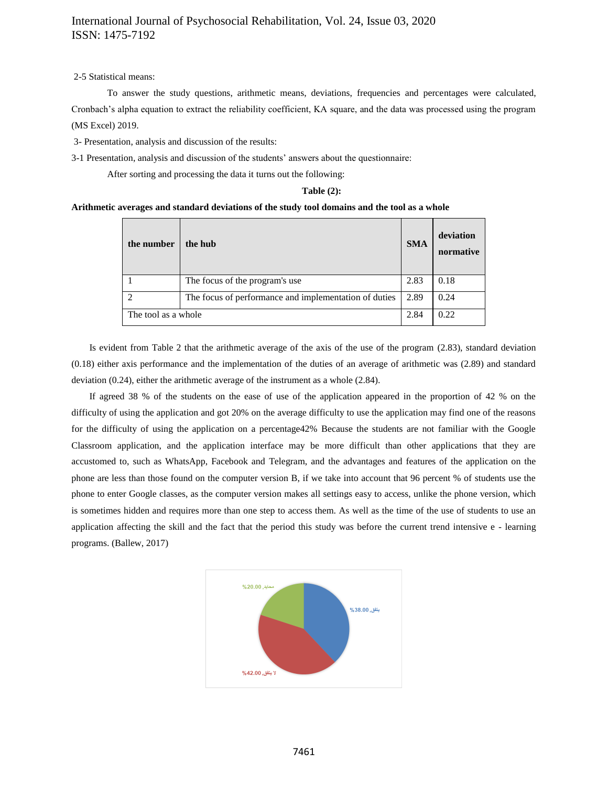2-5 Statistical means:

To answer the study questions, arithmetic means, deviations, frequencies and percentages were calculated, Cronbach's alpha equation to extract the reliability coefficient, KA square, and the data was processed using the program (MS Excel) 2019.

3- Presentation, analysis and discussion of the results:

3-1 Presentation, analysis and discussion of the students' answers about the questionnaire:

After sorting and processing the data it turns out the following:

#### **Table (2):**

#### **Arithmetic averages and standard deviations of the study tool domains and the tool as a whole**

| the number          | the hub                                               | <b>SMA</b> | deviation<br>normative |
|---------------------|-------------------------------------------------------|------------|------------------------|
|                     | The focus of the program's use.                       | 2.83       | 0.18                   |
| $\overline{c}$      | The focus of performance and implementation of duties | 2.89       | 0.24                   |
| The tool as a whole |                                                       | 2.84       | 0.22                   |

Is evident from Table 2 that the arithmetic average of the axis of the use of the program (2.83), standard deviation (0.18) either axis performance and the implementation of the duties of an average of arithmetic was (2.89) and standard deviation (0.24), either the arithmetic average of the instrument as a whole (2.84).

If agreed 38 % of the students on the ease of use of the application appeared in the proportion of 42 % on the difficulty of using the application and got 20% on the average difficulty to use the application may find one of the reasons for the difficulty of using the application on a percentage42% Because the students are not familiar with the Google Classroom application, and the application interface may be more difficult than other applications that they are accustomed to, such as WhatsApp, Facebook and Telegram, and the advantages and features of the application on the phone are less than those found on the computer version B, if we take into account that 96 percent % of students use the phone to enter Google classes, as the computer version makes all settings easy to access, unlike the phone version, which is sometimes hidden and requires more than one step to access them. As well as the time of the use of students to use an application affecting the skill and the fact that the period this study was before the current trend intensive e - learning programs. (Ballew, 2017)

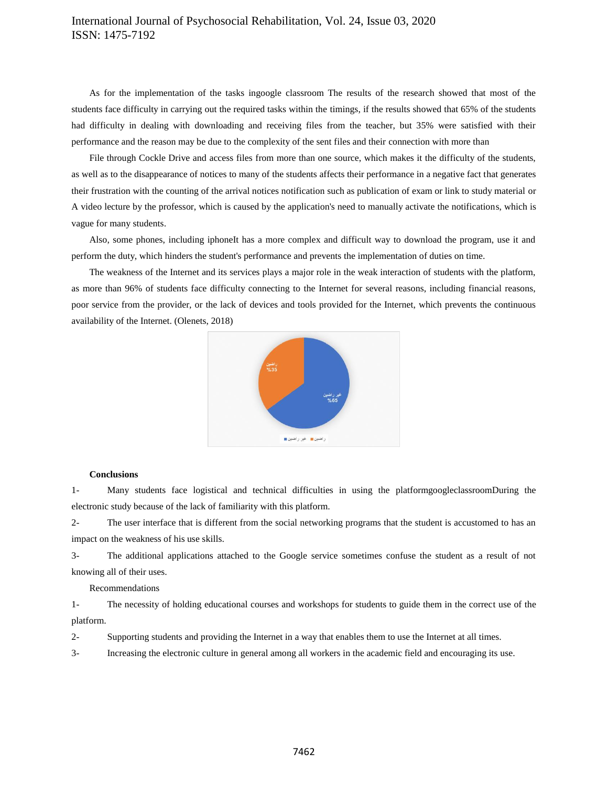As for the implementation of the tasks ingoogle classroom The results of the research showed that most of the students face difficulty in carrying out the required tasks within the timings, if the results showed that 65% of the students had difficulty in dealing with downloading and receiving files from the teacher, but 35% were satisfied with their performance and the reason may be due to the complexity of the sent files and their connection with more than

File through Cockle Drive and access files from more than one source, which makes it the difficulty of the students, as well as to the disappearance of notices to many of the students affects their performance in a negative fact that generates their frustration with the counting of the arrival notices notification such as publication of exam or link to study material or A video lecture by the professor, which is caused by the application's need to manually activate the notifications, which is vague for many students.

Also, some phones, including iphoneIt has a more complex and difficult way to download the program, use it and perform the duty, which hinders the student's performance and prevents the implementation of duties on time.

The weakness of the Internet and its services plays a major role in the weak interaction of students with the platform, as more than 96% of students face difficulty connecting to the Internet for several reasons, including financial reasons, poor service from the provider, or the lack of devices and tools provided for the Internet, which prevents the continuous availability of the Internet. (Olenets, 2018)



#### **Conclusions**

1- Many students face logistical and technical difficulties in using the platformgoogleclassroomDuring the electronic study because of the lack of familiarity with this platform.

2- The user interface that is different from the social networking programs that the student is accustomed to has an impact on the weakness of his use skills.

3- The additional applications attached to the Google service sometimes confuse the student as a result of not knowing all of their uses.

#### Recommendations

1- The necessity of holding educational courses and workshops for students to guide them in the correct use of the platform.

2- Supporting students and providing the Internet in a way that enables them to use the Internet at all times.

3- Increasing the electronic culture in general among all workers in the academic field and encouraging its use.